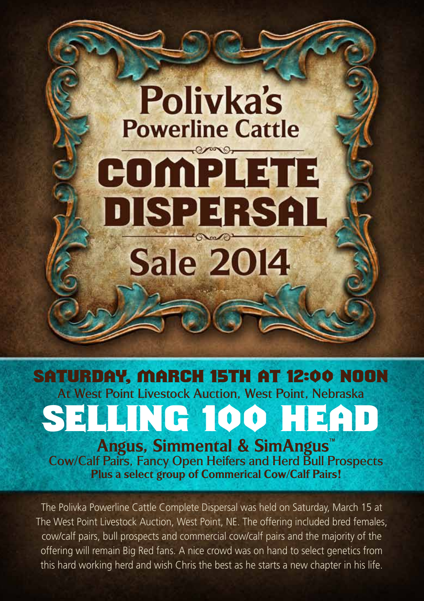# At West Point Livestock Auction, West Point, Nebraska Saturday, March 15th at 12:00 Noon

**Polivka's** 

**Powerline Cattle** 

 $\mathcal{P}$ 

COMPLETE

DISPERSAL

**Sale 2014** 

**Angus, Simmental & SimAngus™** SELLING 100 HEAD

Cow/Calf Pairs, Fancy Open Heifers and Herd Bull Prospects **Plus a select group of Commerical Cow/Calf Pairs!**

The Polivka Powerline Cattle Complete Dispersal was held on Saturday, March 15 at The West Point Livestock Auction, West Point, NE. The offering included bred females, cow/calf pairs, bull prospects and commercial cow/calf pairs and the majority of the offering will remain Big Red fans. A nice crowd was on hand to select genetics from this hard working herd and wish Chris the best as he starts a new chapter in his life.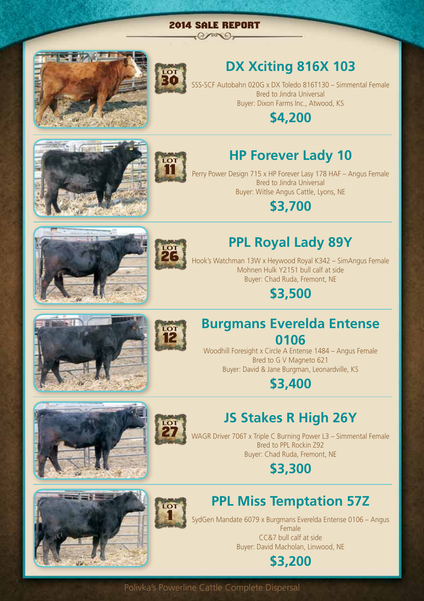#### 2014 Sale Report  $-0$  por  $0$





# **DX Xciting 816X 103**

SSS-SCF Autobahn 020G x DX Toledo 816T130 – Simmental Female Bred to Jindra Universal Buyer: Dixon Farms Inc., Atwood, KS

#### **\$4,200**





## **HP Forever Lady 10**

Perry Power Design 715 x HP Forever Lasy 178 HAF – Angus Female Bred to Jindra Universal Buyer: Witlse Angus Cattle, Lyons, NE

**\$3,700**





# **PPL Royal Lady 89Y**

Hook's Watchman 13W x Heywood Royal K342 – SimAngus Female Mohnen Hulk Y2151 bull calf at side Buyer: Chad Ruda, Fremont, NE

**\$3,500**





#### **Burgmans Everelda Entense 0106**

Woodhill Foresight x Circle A Entense 1484 – Angus Female Bred to G V Magneto 621 Buyer: David & Jane Burgman, Leonardville, KS

### **\$3,400**







**LOT** 1

# **JS Stakes R High 26Y**

WAGR Driver 706T x Triple C Burning Power L3 – Simmental Female Bred to PPL Rockin Z92 Buyer: Chad Ruda, Fremont, NE

### **\$3,300**



SydGen Mandate 6079 x Burgmans Everelda Entense 0106 – Angus Female CC&7 bull calf at side Buyer: David Macholan, Linwood, NE



#### Polivka's Powerline Cattle Complete Dispersal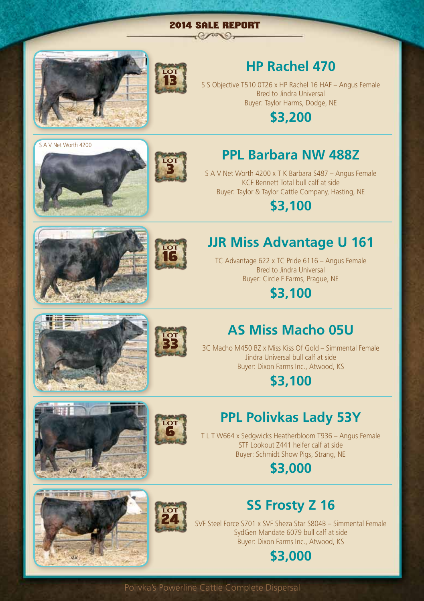#### 2014 Sale Report  $-0$  /  $0$   $-$



S A V Net Worth 4200



**LOT** 3

**LOT** 16

## **HP Rachel 470**

S S Objective T510 0T26 x HP Rachel 16 HAF – Angus Female Bred to Jindra Universal Buyer: Taylor Harms, Dodge, NE

**\$3,200**

## **PPL Barbara NW 488Z**

S A V Net Worth 4200 x T K Barbara S487 – Angus Female KCF Bennett Total bull calf at side Buyer: Taylor & Taylor Cattle Company, Hasting, NE

**\$3,100**



TC Advantage 622 x TC Pride 6116 – Angus Female Bred to Jindra Universal Buyer: Circle F Farms, Prague, NE

**\$3,100**





## **AS Miss Macho 05U**

3C Macho M450 BZ x Miss Kiss Of Gold – Simmental Female Jindra Universal bull calf at side Buyer: Dixon Farms Inc., Atwood, KS

### **\$3,100**







## **PPL Polivkas Lady 53Y**

T L T W664 x Sedgwicks Heatherbloom T936 – Angus Female STF Lookout Z441 heifer calf at side Buyer: Schmidt Show Pigs, Strang, NE

#### **\$3,000**



## **SS Frosty Z 16**

SVF Steel Force S701 x SVF Sheza Star S804B – Simmental Female SydGen Mandate 6079 bull calf at side Buyer: Dixon Farms Inc., Atwood, KS

# **\$3,000**

Polivka's Powerline Cattle Complete Dispersal